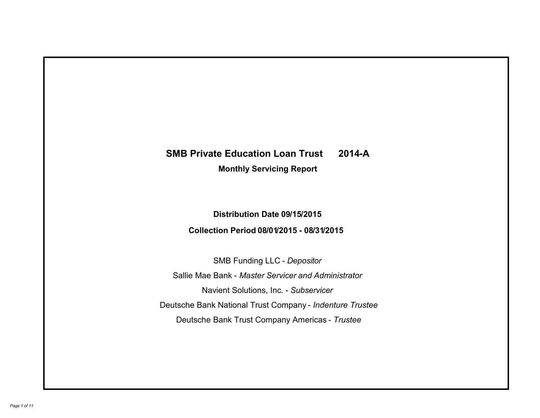# **SMB Private Education Loan Trust 2014-A Monthly Servicing Report**

### **Distribution Date 09/15/2015**

## **Collection Period 08/01/2015 - 08/31/2015**

SMB Funding LLC - *Depositor* Sallie Mae Bank - *Master Servicer and Administrator* Deutsche Bank National Trust Company - *Indenture Trustee* Deutsche Bank Trust Company Americas - *Trustee* Navient Solutions, Inc. - *Subservicer*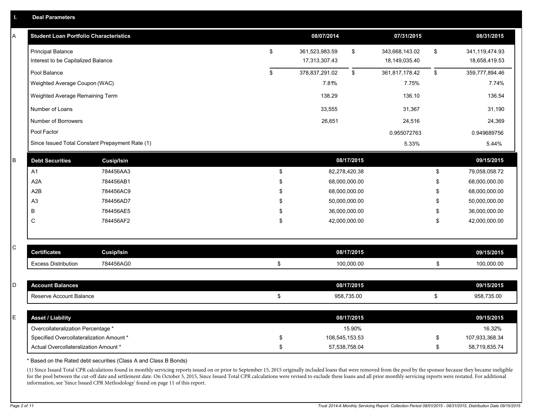| I.          | <b>Deal Parameters</b>                                         |                                                 |    |                |                |                |                |                |                       |
|-------------|----------------------------------------------------------------|-------------------------------------------------|----|----------------|----------------|----------------|----------------|----------------|-----------------------|
| А           | <b>Student Loan Portfolio Characteristics</b>                  |                                                 |    |                | 08/07/2014     |                | 07/31/2015     |                | 08/31/2015            |
|             | <b>Principal Balance</b><br>Interest to be Capitalized Balance |                                                 | \$ | 361,523,983.59 | \$             | 343,668,143.02 | \$             | 341,119,474.93 |                       |
|             |                                                                |                                                 |    |                | 17,313,307.43  |                | 18,149,035.40  |                | 18,658,419.53         |
|             | Pool Balance                                                   |                                                 |    | \$             | 378,837,291.02 | \$             | 361,817,178.42 | \$             | 359,777,894.46        |
|             | Weighted Average Coupon (WAC)                                  |                                                 |    |                | 7.81%          |                | 7.75%          |                | 7.74%                 |
|             | Weighted Average Remaining Term                                |                                                 |    |                | 138.29         |                | 136.10         |                | 136.54                |
|             | Number of Loans                                                |                                                 |    |                | 33,555         |                | 31,367         |                | 31,190                |
|             | Number of Borrowers                                            |                                                 |    |                | 26,651         |                | 24,516         |                | 24,369<br>0.949689756 |
|             | Pool Factor                                                    |                                                 |    |                |                |                | 0.955072763    |                |                       |
|             |                                                                | Since Issued Total Constant Prepayment Rate (1) |    |                |                |                | 5.33%          |                | 5.44%                 |
| B           | <b>Debt Securities</b>                                         | <b>Cusip/Isin</b>                               |    |                |                | 08/17/2015     |                |                | 09/15/2015            |
|             | A1                                                             | 784456AA3                                       |    | \$             |                | 82,278,420.38  |                | \$             | 79,058,058.72         |
|             | A2A                                                            | 784456AB1                                       |    | \$             |                | 68,000,000.00  |                | \$             | 68,000,000.00         |
|             | A2B                                                            | 784456AC9                                       |    | \$             |                | 68,000,000.00  |                | \$             | 68,000,000.00         |
|             | A <sub>3</sub>                                                 | 784456AD7                                       |    | \$             |                | 50,000,000.00  |                | \$             | 50,000,000.00         |
|             | B                                                              | 784456AE5                                       |    | \$             |                | 36,000,000.00  |                | \$             | 36,000,000.00         |
|             | C                                                              | 784456AF2                                       |    | \$             |                | 42,000,000.00  |                | \$             | 42,000,000.00         |
|             |                                                                |                                                 |    |                |                |                |                |                |                       |
| $\mathsf C$ | <b>Certificates</b>                                            | <b>Cusip/Isin</b>                               |    |                |                | 08/17/2015     |                |                | 09/15/2015            |
|             | <b>Excess Distribution</b>                                     | 784456AG0                                       |    | \$             |                | 100,000.00     |                | \$             | 100,000.00            |
|             |                                                                |                                                 |    |                |                |                |                |                |                       |
| D           | <b>Account Balances</b>                                        |                                                 |    |                |                | 08/17/2015     |                |                | 09/15/2015            |
|             | Reserve Account Balance                                        |                                                 |    | \$             |                | 958,735.00     |                | \$             | 958,735.00            |
| Ε           | <b>Asset / Liability</b>                                       |                                                 |    |                |                | 08/17/2015     |                |                | 09/15/2015            |
|             | Overcollateralization Percentage *                             |                                                 |    |                |                | 15.90%         |                |                | 16.32%                |
|             | Specified Overcollateralization Amount *                       |                                                 |    | \$             |                | 108,545,153.53 |                | \$             | 107,933,368.34        |
|             | Actual Overcollateralization Amount *                          |                                                 |    | \$             |                | 57,538,758.04  |                | \$             | 58,719,835.74         |

\* Based on the Rated debt securities (Class A and Class B Bonds)

(1) Since Issued Total CPR calculations found in monthly servicing reports issued on or prior to September 15, 2015 originally included loans that were removed from the pool by the sponsor because they became ineligible for the pool between the cut-off date and settlement date. On October 5, 2015, Since Issued Total CPR calculations were revised to exclude these loans and all prior monthly servicing reports were restated. For additional information, see 'Since Issued CPR Methodology' found on page 11 of this report.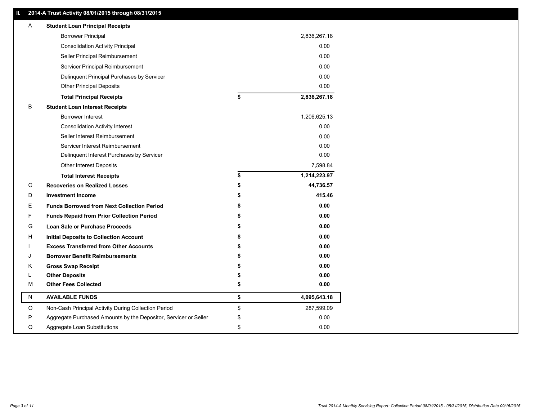### **II. 2014-A Trust Activity 08/01/2015 through 08/31/2015**

| Α | <b>Student Loan Principal Receipts</b>                           |    |              |  |
|---|------------------------------------------------------------------|----|--------------|--|
|   | <b>Borrower Principal</b>                                        |    | 2,836,267.18 |  |
|   | <b>Consolidation Activity Principal</b>                          |    | 0.00         |  |
|   | Seller Principal Reimbursement                                   |    | 0.00         |  |
|   | Servicer Principal Reimbursement                                 |    | 0.00         |  |
|   | Delinquent Principal Purchases by Servicer                       |    | 0.00         |  |
|   | <b>Other Principal Deposits</b>                                  |    | 0.00         |  |
|   | <b>Total Principal Receipts</b>                                  | \$ | 2,836,267.18 |  |
| в | <b>Student Loan Interest Receipts</b>                            |    |              |  |
|   | Borrower Interest                                                |    | 1,206,625.13 |  |
|   | <b>Consolidation Activity Interest</b>                           |    | 0.00         |  |
|   | Seller Interest Reimbursement                                    |    | 0.00         |  |
|   | Servicer Interest Reimbursement                                  |    | 0.00         |  |
|   | Delinquent Interest Purchases by Servicer                        |    | 0.00         |  |
|   | Other Interest Deposits                                          |    | 7,598.84     |  |
|   | <b>Total Interest Receipts</b>                                   | \$ | 1,214,223.97 |  |
| C | <b>Recoveries on Realized Losses</b>                             | \$ | 44,736.57    |  |
| D | <b>Investment Income</b>                                         |    | 415.46       |  |
| Ε | <b>Funds Borrowed from Next Collection Period</b>                |    | 0.00         |  |
| F | <b>Funds Repaid from Prior Collection Period</b>                 |    | 0.00         |  |
| G | <b>Loan Sale or Purchase Proceeds</b>                            |    | 0.00         |  |
| н | <b>Initial Deposits to Collection Account</b>                    |    | 0.00         |  |
|   | <b>Excess Transferred from Other Accounts</b>                    |    | 0.00         |  |
| J | <b>Borrower Benefit Reimbursements</b>                           |    | 0.00         |  |
| Κ | <b>Gross Swap Receipt</b>                                        |    | 0.00         |  |
| L | <b>Other Deposits</b>                                            | S  | 0.00         |  |
| M | <b>Other Fees Collected</b>                                      | \$ | 0.00         |  |
| N | <b>AVAILABLE FUNDS</b>                                           | \$ | 4,095,643.18 |  |
| O | Non-Cash Principal Activity During Collection Period             | \$ | 287,599.09   |  |
| P | Aggregate Purchased Amounts by the Depositor, Servicer or Seller | \$ | 0.00         |  |
| Q | Aggregate Loan Substitutions                                     | \$ | 0.00         |  |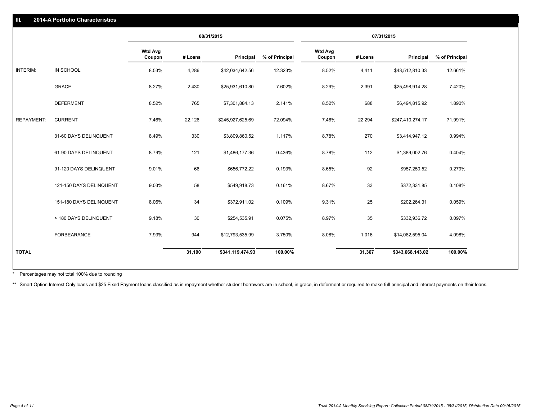|                   |                         | 08/31/2015               |         |                  | 07/31/2015     |                          |         |                  |                |
|-------------------|-------------------------|--------------------------|---------|------------------|----------------|--------------------------|---------|------------------|----------------|
|                   |                         | <b>Wtd Avg</b><br>Coupon | # Loans | <b>Principal</b> | % of Principal | <b>Wtd Avg</b><br>Coupon | # Loans | Principal        | % of Principal |
| <b>INTERIM:</b>   | <b>IN SCHOOL</b>        | 8.53%                    | 4,286   | \$42,034,642.56  | 12.323%        | 8.52%                    | 4,411   | \$43,512,810.33  | 12.661%        |
|                   | <b>GRACE</b>            | 8.27%                    | 2,430   | \$25,931,610.80  | 7.602%         | 8.29%                    | 2,391   | \$25,498,914.28  | 7.420%         |
|                   | <b>DEFERMENT</b>        | 8.52%                    | 765     | \$7,301,884.13   | 2.141%         | 8.52%                    | 688     | \$6,494,815.92   | 1.890%         |
| <b>REPAYMENT:</b> | <b>CURRENT</b>          | 7.46%                    | 22,126  | \$245,927,625.69 | 72.094%        | 7.46%                    | 22,294  | \$247,410,274.17 | 71.991%        |
|                   | 31-60 DAYS DELINQUENT   | 8.49%                    | 330     | \$3,809,860.52   | 1.117%         | 8.78%                    | 270     | \$3,414,947.12   | 0.994%         |
|                   | 61-90 DAYS DELINQUENT   | 8.79%                    | 121     | \$1,486,177.36   | 0.436%         | 8.78%                    | 112     | \$1,389,002.76   | 0.404%         |
|                   | 91-120 DAYS DELINQUENT  | 9.01%                    | 66      | \$656,772.22     | 0.193%         | 8.65%                    | 92      | \$957,250.52     | 0.279%         |
|                   | 121-150 DAYS DELINQUENT | 9.03%                    | 58      | \$549,918.73     | 0.161%         | 8.67%                    | 33      | \$372,331.85     | 0.108%         |
|                   | 151-180 DAYS DELINQUENT | 8.06%                    | 34      | \$372,911.02     | 0.109%         | 9.31%                    | 25      | \$202,264.31     | 0.059%         |
|                   | > 180 DAYS DELINQUENT   | 9.18%                    | 30      | \$254,535.91     | 0.075%         | 8.97%                    | 35      | \$332,936.72     | 0.097%         |
|                   | <b>FORBEARANCE</b>      | 7.93%                    | 944     | \$12,793,535.99  | 3.750%         | 8.08%                    | 1,016   | \$14,082,595.04  | 4.098%         |
| <b>TOTAL</b>      |                         |                          | 31,190  | \$341,119,474.93 | 100.00%        |                          | 31,367  | \$343,668,143.02 | 100.00%        |

Percentages may not total 100% due to rounding \*

**2014-A Portfolio Characteristics**

\*\* Smart Option Interest Only loans and \$25 Fixed Payment loans classified as in repayment whether student borrowers are in school, in grace, in deferment or required to make full principal and interest payments on their l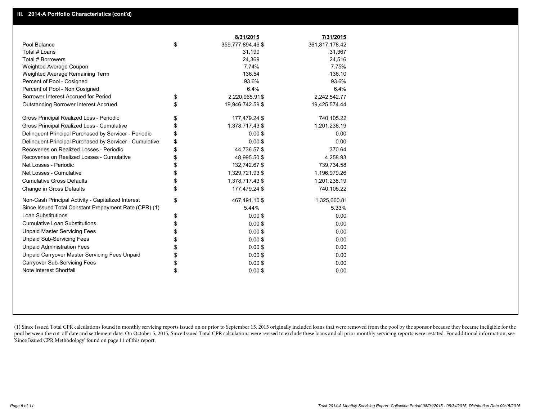|                                                         | 8/31/2015               | 7/31/2015      |
|---------------------------------------------------------|-------------------------|----------------|
| Pool Balance                                            | \$<br>359,777,894.46 \$ | 361,817,178.42 |
| Total # Loans                                           | 31,190                  | 31,367         |
| Total # Borrowers                                       | 24,369                  | 24,516         |
| Weighted Average Coupon                                 | 7.74%                   | 7.75%          |
| Weighted Average Remaining Term                         | 136.54                  | 136.10         |
| Percent of Pool - Cosigned                              | 93.6%                   | 93.6%          |
| Percent of Pool - Non Cosigned                          | 6.4%                    | 6.4%           |
| Borrower Interest Accrued for Period                    | \$<br>2,220,965.91\$    | 2,242,542.77   |
| <b>Outstanding Borrower Interest Accrued</b>            | \$<br>19,946,742.59 \$  | 19,425,574.44  |
| Gross Principal Realized Loss - Periodic                | \$<br>177,479.24 \$     | 740,105.22     |
| Gross Principal Realized Loss - Cumulative              | \$<br>1,378,717.43 \$   | 1,201,238.19   |
| Delinquent Principal Purchased by Servicer - Periodic   | \$<br>$0.00$ \$         | 0.00           |
| Delinquent Principal Purchased by Servicer - Cumulative | \$<br>0.00S             | 0.00           |
| Recoveries on Realized Losses - Periodic                | \$<br>44,736.57 \$      | 370.64         |
| Recoveries on Realized Losses - Cumulative              | \$<br>48,995.50 \$      | 4,258.93       |
| Net Losses - Periodic                                   | \$<br>132,742.67 \$     | 739,734.58     |
| Net Losses - Cumulative                                 | \$<br>1,329,721.93 \$   | 1,196,979.26   |
| <b>Cumulative Gross Defaults</b>                        | \$<br>1,378,717.43 \$   | 1,201,238.19   |
| Change in Gross Defaults                                | \$<br>177,479.24 \$     | 740,105.22     |
| Non-Cash Principal Activity - Capitalized Interest      | \$<br>467,191.10 \$     | 1,325,660.81   |
| Since Issued Total Constant Prepayment Rate (CPR) (1)   | 5.44%                   | 5.33%          |
| <b>Loan Substitutions</b>                               | \$<br>$0.00$ \$         | 0.00           |
| <b>Cumulative Loan Substitutions</b>                    | \$<br>$0.00$ \$         | 0.00           |
| <b>Unpaid Master Servicing Fees</b>                     | \$<br>$0.00$ \$         | 0.00           |
| <b>Unpaid Sub-Servicing Fees</b>                        | \$<br>$0.00$ \$         | 0.00           |
| <b>Unpaid Administration Fees</b>                       | \$<br>$0.00$ \$         | 0.00           |
| Unpaid Carryover Master Servicing Fees Unpaid           | \$<br>$0.00$ \$         | 0.00           |
| Carryover Sub-Servicing Fees                            | \$<br>$0.00$ \$         | 0.00           |
| Note Interest Shortfall                                 | \$<br>$0.00$ \$         | 0.00           |

(1) Since Issued Total CPR calculations found in monthly servicing reports issued on or prior to September 15, 2015 originally included loans that were removed from the pool by the sponsor because they became ineligible fo pool between the cut-off date and settlement date. On October 5, 2015, Since Issued Total CPR calculations were revised to exclude these loans and all prior monthly servicing reports were restated. For additional informati 'Since Issued CPR Methodology' found on page 11 of this report.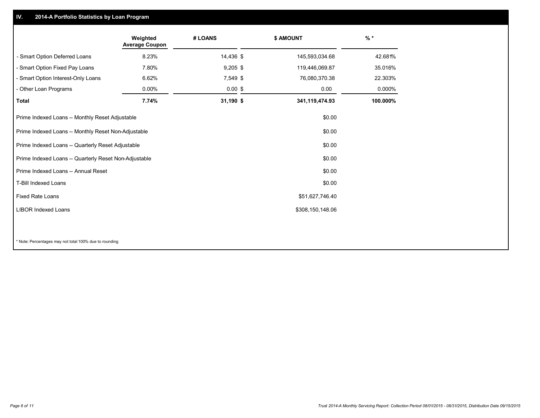#### **IV.2014-A Portfolio Statistics by Loan Program**

|                                                               | Weighted<br><b>Average Coupon</b> | # LOANS    |  | \$ AMOUNT        | $%$ *    |
|---------------------------------------------------------------|-----------------------------------|------------|--|------------------|----------|
| - Smart Option Deferred Loans                                 | 8.23%                             | 14,436 \$  |  | 145,593,034.68   | 42.681%  |
| - Smart Option Fixed Pay Loans                                | 7.80%                             | $9,205$ \$ |  | 119,446,069.87   | 35.016%  |
| - Smart Option Interest-Only Loans                            | 6.62%                             | 7,549 \$   |  | 76,080,370.38    | 22.303%  |
| - Other Loan Programs                                         | $0.00\%$                          | $0.00$ \$  |  | 0.00             | 0.000%   |
| <b>Total</b>                                                  | 7.74%                             | 31,190 \$  |  | 341,119,474.93   | 100.000% |
| Prime Indexed Loans -- Monthly Reset Adjustable               |                                   |            |  | \$0.00           |          |
| Prime Indexed Loans -- Monthly Reset Non-Adjustable<br>\$0.00 |                                   |            |  |                  |          |
| Prime Indexed Loans -- Quarterly Reset Adjustable             |                                   |            |  | \$0.00           |          |
| Prime Indexed Loans -- Quarterly Reset Non-Adjustable         |                                   |            |  | \$0.00           |          |
| Prime Indexed Loans -- Annual Reset                           |                                   |            |  | \$0.00           |          |
| T-Bill Indexed Loans                                          |                                   |            |  | \$0.00           |          |
| <b>Fixed Rate Loans</b>                                       |                                   |            |  | \$51,627,746.40  |          |
| <b>LIBOR Indexed Loans</b>                                    |                                   |            |  | \$308,150,148.06 |          |
|                                                               |                                   |            |  |                  |          |

\* Note: Percentages may not total 100% due to rounding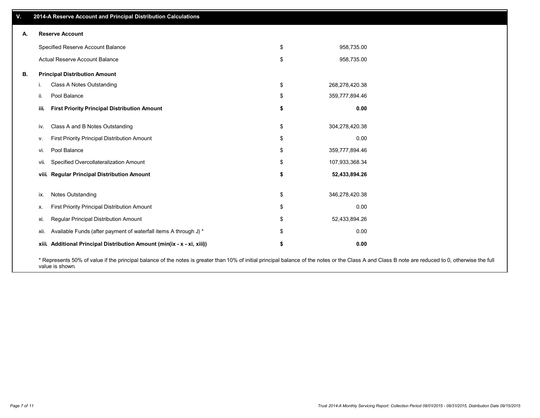|    |      | 2014-A Reserve Account and Principal Distribution Calculations          |                      |
|----|------|-------------------------------------------------------------------------|----------------------|
| А. |      | <b>Reserve Account</b>                                                  |                      |
|    |      | Specified Reserve Account Balance                                       | \$<br>958,735.00     |
|    |      | Actual Reserve Account Balance                                          | \$<br>958,735.00     |
| В. |      | <b>Principal Distribution Amount</b>                                    |                      |
|    |      | Class A Notes Outstanding                                               | \$<br>268,278,420.38 |
|    | ii.  | Pool Balance                                                            | \$<br>359,777,894.46 |
|    | iii. | <b>First Priority Principal Distribution Amount</b>                     | \$<br>0.00           |
|    | iv.  | Class A and B Notes Outstanding                                         | \$<br>304,278,420.38 |
|    | ν.   | First Priority Principal Distribution Amount                            | \$<br>0.00           |
|    | vi.  | Pool Balance                                                            | \$<br>359,777,894.46 |
|    | vii. | Specified Overcollateralization Amount                                  | \$<br>107,933,368.34 |
|    |      | viii. Regular Principal Distribution Amount                             | \$<br>52,433,894.26  |
|    |      |                                                                         |                      |
|    | ix.  | <b>Notes Outstanding</b>                                                | \$<br>346,278,420.38 |
|    | х.   | First Priority Principal Distribution Amount                            | \$<br>0.00           |
|    | Xİ.  | Regular Principal Distribution Amount                                   | \$<br>52,433,894.26  |
|    | xii. | Available Funds (after payment of waterfall items A through J) *        | \$<br>0.00           |
|    |      | xiii. Additional Principal Distribution Amount (min(ix - x - xi, xiii)) | \$<br>0.00           |
|    |      |                                                                         |                      |

\* Represents 50% of value if the principal balance of the notes is greater than 10% of initial principal balance of the notes or the Class A and Class B note are reduced to 0, otherwise the full value is shown.

┑

**V.**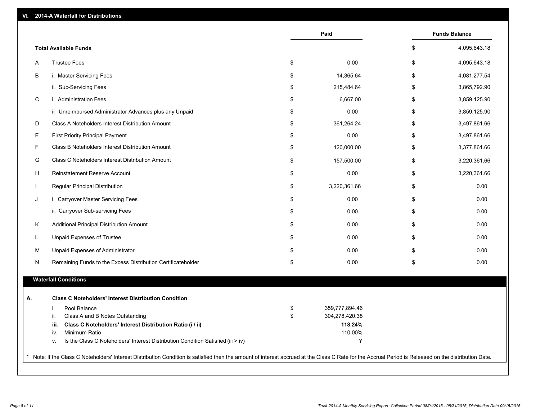| VI. | 2014-A Waterfall for Distributions                                                                                                                                                                  |          |                                  |                      |
|-----|-----------------------------------------------------------------------------------------------------------------------------------------------------------------------------------------------------|----------|----------------------------------|----------------------|
|     |                                                                                                                                                                                                     |          | Paid                             | <b>Funds Balance</b> |
|     | <b>Total Available Funds</b>                                                                                                                                                                        |          |                                  | \$<br>4,095,643.18   |
| A   | <b>Trustee Fees</b>                                                                                                                                                                                 | \$       | 0.00                             | \$<br>4,095,643.18   |
| B   | i. Master Servicing Fees                                                                                                                                                                            | \$       | 14,365.64                        | \$<br>4,081,277.54   |
|     | ii. Sub-Servicing Fees                                                                                                                                                                              | \$       | 215,484.64                       | \$<br>3,865,792.90   |
| C   | i. Administration Fees                                                                                                                                                                              | \$       | 6,667.00                         | \$<br>3,859,125.90   |
|     | ii. Unreimbursed Administrator Advances plus any Unpaid                                                                                                                                             | \$       | 0.00                             | \$<br>3,859,125.90   |
| D   | Class A Noteholders Interest Distribution Amount                                                                                                                                                    | \$       | 361,264.24                       | \$<br>3,497,861.66   |
| Е   | <b>First Priority Principal Payment</b>                                                                                                                                                             | \$       | 0.00                             | \$<br>3,497,861.66   |
| F   | Class B Noteholders Interest Distribution Amount                                                                                                                                                    | \$       | 120,000.00                       | \$<br>3,377,861.66   |
| G   | Class C Noteholders Interest Distribution Amount                                                                                                                                                    | \$       | 157,500.00                       | \$<br>3,220,361.66   |
| H   | Reinstatement Reserve Account                                                                                                                                                                       | \$       | 0.00                             | \$<br>3,220,361.66   |
|     | Regular Principal Distribution                                                                                                                                                                      | \$       | 3,220,361.66                     | \$<br>0.00           |
| J   | i. Carryover Master Servicing Fees                                                                                                                                                                  | \$       | 0.00                             | \$<br>0.00           |
|     | ii. Carryover Sub-servicing Fees                                                                                                                                                                    | \$       | 0.00                             | \$<br>0.00           |
| Κ   | Additional Principal Distribution Amount                                                                                                                                                            | \$       | 0.00                             | \$<br>0.00           |
| L   | Unpaid Expenses of Trustee                                                                                                                                                                          | \$       | 0.00                             | \$<br>0.00           |
| M   | Unpaid Expenses of Administrator                                                                                                                                                                    | \$       | 0.00                             | \$<br>0.00           |
| N   | Remaining Funds to the Excess Distribution Certificateholder                                                                                                                                        | \$       | 0.00                             | \$<br>0.00           |
|     | <b>Waterfall Conditions</b>                                                                                                                                                                         |          |                                  |                      |
|     |                                                                                                                                                                                                     |          |                                  |                      |
| А.  | <b>Class C Noteholders' Interest Distribution Condition</b>                                                                                                                                         |          |                                  |                      |
|     | Pool Balance<br>i.<br>Class A and B Notes Outstanding<br>ii.                                                                                                                                        | \$<br>\$ | 359,777,894.46<br>304,278,420.38 |                      |
|     | Class C Noteholders' Interest Distribution Ratio (i / ii)<br>iii.                                                                                                                                   |          | 118.24%                          |                      |
|     | Minimum Ratio<br>iv.                                                                                                                                                                                |          | 110.00%                          |                      |
|     | Is the Class C Noteholders' Interest Distribution Condition Satisfied (iii > iv)<br>ν.                                                                                                              |          | Y                                |                      |
|     |                                                                                                                                                                                                     |          |                                  |                      |
|     | Note: If the Class C Noteholders' Interest Distribution Condition is satisfied then the amount of interest accrued at the Class C Rate for the Accrual Period is Released on the distribution Date. |          |                                  |                      |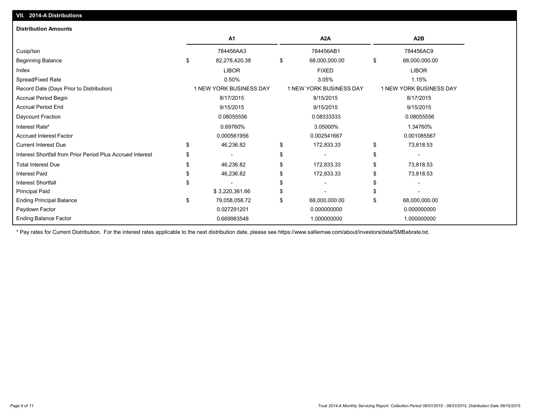| <b>Distribution Amounts</b>                                |                                |                                |                         |
|------------------------------------------------------------|--------------------------------|--------------------------------|-------------------------|
|                                                            | <b>A1</b>                      | A2A                            | A2B                     |
| Cusip/Isin                                                 | 784456AA3                      | 784456AB1                      | 784456AC9               |
| <b>Beginning Balance</b>                                   | \$<br>82,278,420.38            | \$<br>68,000,000.00            | \$<br>68,000,000.00     |
| Index                                                      | <b>LIBOR</b>                   | <b>FIXED</b>                   | <b>LIBOR</b>            |
| Spread/Fixed Rate                                          | 0.50%                          | 3.05%                          | 1.15%                   |
| Record Date (Days Prior to Distribution)                   | <b>1 NEW YORK BUSINESS DAY</b> | <b>1 NEW YORK BUSINESS DAY</b> | 1 NEW YORK BUSINESS DAY |
| Accrual Period Begin                                       | 8/17/2015                      | 8/15/2015                      | 8/17/2015               |
| <b>Accrual Period End</b>                                  | 9/15/2015                      | 9/15/2015                      | 9/15/2015               |
| Daycount Fraction                                          | 0.08055556                     | 0.08333333                     | 0.08055556              |
| Interest Rate*                                             | 0.69760%                       | 3.05000%                       | 1.34760%                |
| <b>Accrued Interest Factor</b>                             | 0.000561956                    | 0.002541667                    | 0.001085567             |
| <b>Current Interest Due</b>                                | \$<br>46,236.82                | \$<br>172,833.33               | \$<br>73,818.53         |
| Interest Shortfall from Prior Period Plus Accrued Interest |                                | \$                             | \$                      |
| <b>Total Interest Due</b>                                  | 46,236.82                      | \$<br>172,833.33               | \$<br>73,818.53         |
| <b>Interest Paid</b>                                       | 46,236.82                      | \$<br>172,833.33               | \$<br>73,818.53         |
| <b>Interest Shortfall</b>                                  |                                | \$                             |                         |
| Principal Paid                                             | \$3,220,361.66                 | \$                             |                         |
| <b>Ending Principal Balance</b>                            | \$<br>79,058,058.72            | \$<br>68,000,000.00            | \$<br>68,000,000.00     |
| Paydown Factor                                             | 0.027291201                    | 0.000000000                    | 0.000000000             |
| <b>Ending Balance Factor</b>                               | 0.669983548                    | 1.000000000                    | 1.000000000             |

\* Pay rates for Current Distribution. For the interest rates applicable to the next distribution date, please see https://www.salliemae.com/about/investors/data/SMBabrate.txt.

**VII. 2014-A Distributions**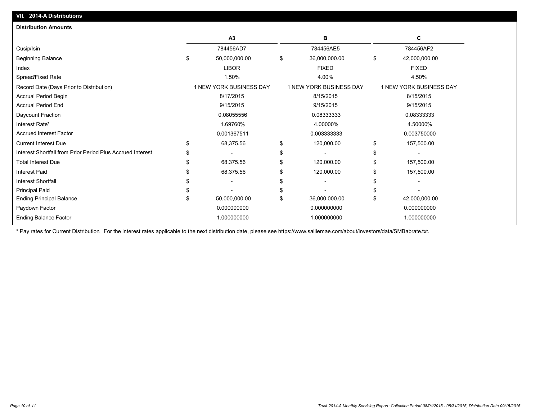| VII. 2014-A Distributions                                  |                        |                                |           |                                |    |                         |
|------------------------------------------------------------|------------------------|--------------------------------|-----------|--------------------------------|----|-------------------------|
| <b>Distribution Amounts</b>                                |                        |                                |           |                                |    |                         |
|                                                            |                        | A <sub>3</sub>                 |           | в                              |    | С                       |
| Cusip/Isin                                                 |                        | 784456AD7                      |           | 784456AE5                      |    | 784456AF2               |
| <b>Beginning Balance</b>                                   | \$                     | 50,000,000.00                  | \$        | 36,000,000.00                  | \$ | 42,000,000.00           |
| Index                                                      |                        | <b>LIBOR</b>                   |           | <b>FIXED</b>                   |    | <b>FIXED</b>            |
| Spread/Fixed Rate                                          |                        | 1.50%                          |           | 4.00%                          |    | 4.50%                   |
| Record Date (Days Prior to Distribution)                   |                        | <b>1 NEW YORK BUSINESS DAY</b> |           | <b>1 NEW YORK BUSINESS DAY</b> |    | 1 NEW YORK BUSINESS DAY |
| Accrual Period Begin                                       |                        | 8/17/2015                      |           | 8/15/2015                      |    | 8/15/2015               |
| <b>Accrual Period End</b>                                  | 9/15/2015<br>9/15/2015 |                                | 9/15/2015 |                                |    |                         |
| Daycount Fraction                                          |                        | 0.08055556                     |           | 0.08333333                     |    | 0.08333333              |
| Interest Rate*                                             |                        | 1.69760%                       |           | 4.00000%                       |    | 4.50000%                |
| <b>Accrued Interest Factor</b>                             |                        | 0.001367511                    |           | 0.003333333                    |    | 0.003750000             |
| <b>Current Interest Due</b>                                | \$                     | 68,375.56                      | \$        | 120,000.00                     | \$ | 157,500.00              |
| Interest Shortfall from Prior Period Plus Accrued Interest |                        |                                | \$        |                                | S  |                         |
| <b>Total Interest Due</b>                                  |                        | 68,375.56                      | \$        | 120,000.00                     | S  | 157,500.00              |
| <b>Interest Paid</b>                                       |                        | 68,375.56                      | \$        | 120,000.00                     | S  | 157,500.00              |
| <b>Interest Shortfall</b>                                  |                        |                                | \$        |                                |    |                         |
| <b>Principal Paid</b>                                      |                        |                                | \$        |                                |    |                         |
| <b>Ending Principal Balance</b>                            |                        | 50,000,000.00                  | \$        | 36,000,000.00                  | \$ | 42,000,000.00           |
| Paydown Factor                                             |                        | 0.000000000                    |           | 0.000000000                    |    | 0.000000000             |
| <b>Ending Balance Factor</b>                               |                        | 1.000000000                    |           | 1.000000000                    |    | 1.000000000             |
|                                                            |                        |                                |           |                                |    |                         |

\* Pay rates for Current Distribution. For the interest rates applicable to the next distribution date, please see https://www.salliemae.com/about/investors/data/SMBabrate.txt.